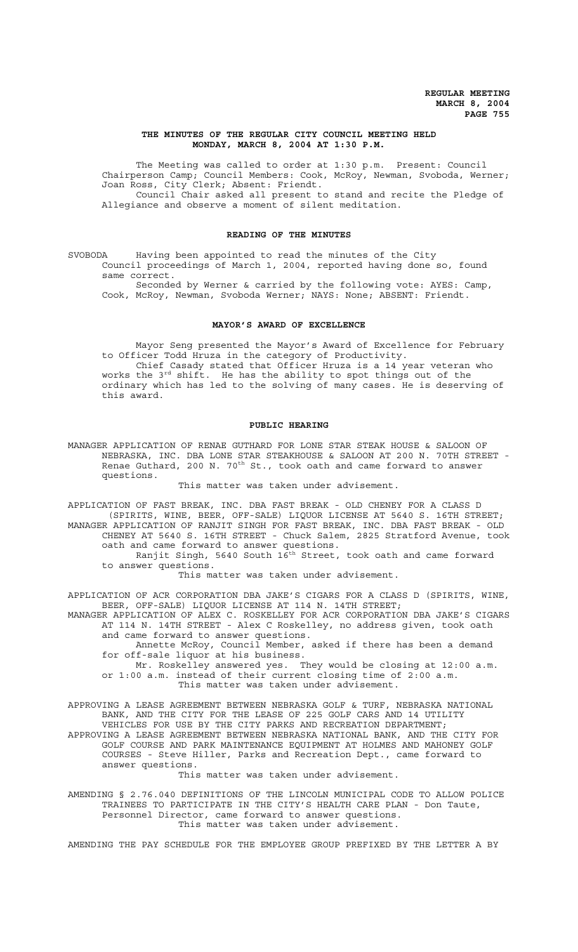## **THE MINUTES OF THE REGULAR CITY COUNCIL MEETING HELD MONDAY, MARCH 8, 2004 AT 1:30 P.M.**

The Meeting was called to order at 1:30 p.m. Present: Council Chairperson Camp; Council Members: Cook, McRoy, Newman, Svoboda, Werner; Joan Ross, City Clerk; Absent: Friendt. Council Chair asked all present to stand and recite the Pledge of

Allegiance and observe a moment of silent meditation.

## **READING OF THE MINUTES**

SVOBODA Having been appointed to read the minutes of the City Council proceedings of March 1, 2004, reported having done so, found same correct.

Seconded by Werner & carried by the following vote: AYES: Camp, Cook, McRoy, Newman, Svoboda Werner; NAYS: None; ABSENT: Friendt.

### **MAYOR'S AWARD OF EXCELLENCE**

Mayor Seng presented the Mayor's Award of Excellence for February to Officer Todd Hruza in the category of Productivity. Chief Casady stated that Officer Hruza is a 14 year veteran who works the 3<sup>rd</sup> shift. He has the ability to spot things out of the

ordinary which has led to the solving of many cases. He is deserving of this award.

## **PUBLIC HEARING**

MANAGER APPLICATION OF RENAE GUTHARD FOR LONE STAR STEAK HOUSE & SALOON OF NEBRASKA, INC. DBA LONE STAR STEAKHOUSE & SALOON AT 200 N. 70TH STREET - Renae Guthard, 200 N. 70<sup>th</sup> St., took oath and came forward to answer questions.

## This matter was taken under advisement.

APPLICATION OF FAST BREAK, INC. DBA FAST BREAK - OLD CHENEY FOR A CLASS D (SPIRITS, WINE, BEER, OFF-SALE) LIQUOR LICENSE AT 5640 S. 16TH STREET; MANAGER APPLICATION OF RANJIT SINGH FOR FAST BREAK, INC. DBA FAST BREAK - OLD CHENEY AT 5640 S. 16TH STREET - Chuck Salem, 2825 Stratford Avenue, took oath and came forward to answer questions.

Ranjit Singh, 5640 South  $16<sup>th</sup>$  Street, took oath and came forward to answer questions.

This matter was taken under advisement.

APPLICATION OF ACR CORPORATION DBA JAKE'S CIGARS FOR A CLASS D (SPIRITS, WINE, BEER, OFF-SALE) LIQUOR LICENSE AT 114 N. 14TH STREET;

MANAGER APPLICATION OF ALEX C. ROSKELLEY FOR ACR CORPORATION DBA JAKE'S CIGARS AT 114 N. 14TH STREET - Alex C Roskelley, no address given, took oath and came forward to answer questions.

Annette McRoy, Council Member, asked if there has been a demand for off-sale liquor at his business.

Mr. Roskelley answered yes. They would be closing at 12:00 a.m. or 1:00 a.m. instead of their current closing time of 2:00 a.m. This matter was taken under advisement.

APPROVING A LEASE AGREEMENT BETWEEN NEBRASKA GOLF & TURF, NEBRASKA NATIONAL BANK, AND THE CITY FOR THE LEASE OF 225 GOLF CARS AND 14 UTILITY VEHICLES FOR USE BY THE CITY PARKS AND RECREATION DEPARTMENT; APPROVING A LEASE AGREEMENT BETWEEN NEBRASKA NATIONAL BANK, AND THE CITY FOR GOLF COURSE AND PARK MAINTENANCE EQUIPMENT AT HOLMES AND MAHONEY GOLF COURSES - Steve Hiller, Parks and Recreation Dept., came forward to answer questions.

This matter was taken under advisement.

AMENDING § 2.76.040 DEFINITIONS OF THE LINCOLN MUNICIPAL CODE TO ALLOW POLICE TRAINEES TO PARTICIPATE IN THE CITY'S HEALTH CARE PLAN - Don Taute, Personnel Director, came forward to answer questions. This matter was taken under advisement.

AMENDING THE PAY SCHEDULE FOR THE EMPLOYEE GROUP PREFIXED BY THE LETTER A BY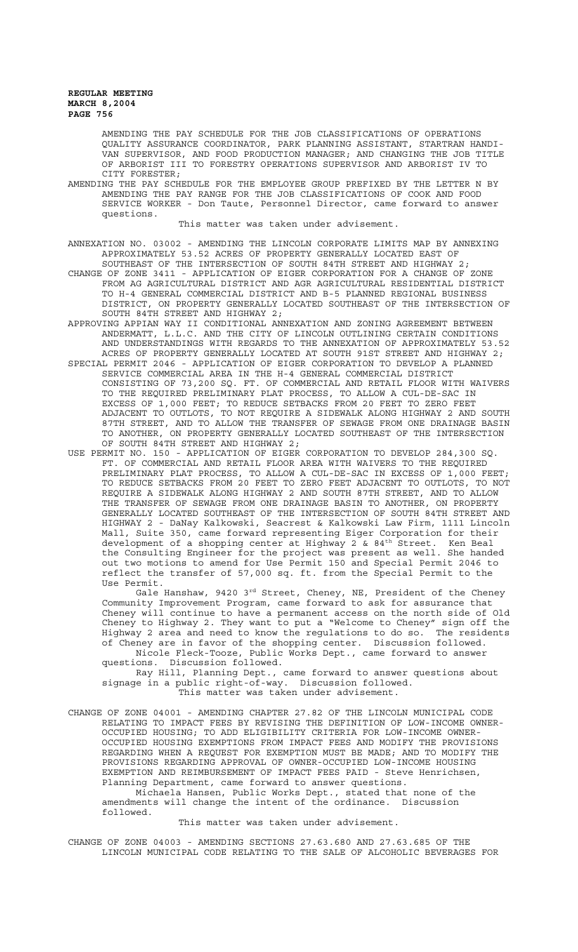AMENDING THE PAY SCHEDULE FOR THE JOB CLASSIFICATIONS OF OPERATIONS QUALITY ASSURANCE COORDINATOR, PARK PLANNING ASSISTANT, STARTRAN HANDI-VAN SUPERVISOR, AND FOOD PRODUCTION MANAGER; AND CHANGING THE JOB TITLE OF ARBORIST III TO FORESTRY OPERATIONS SUPERVISOR AND ARBORIST IV TO

CITY FORESTER; AMENDING THE PAY SCHEDULE FOR THE EMPLOYEE GROUP PREFIXED BY THE LETTER N BY AMENDING THE PAY RANGE FOR THE JOB CLASSIFICATIONS OF COOK AND FOOD SERVICE WORKER - Don Taute, Personnel Director, came forward to answer questions.

This matter was taken under advisement.

ANNEXATION NO. 03002 - AMENDING THE LINCOLN CORPORATE LIMITS MAP BY ANNEXING APPROXIMATELY 53.52 ACRES OF PROPERTY GENERALLY LOCATED EAST OF SOUTHEAST OF THE INTERSECTION OF SOUTH 84TH STREET AND HIGHWAY 2;

CHANGE OF ZONE 3411 - APPLICATION OF EIGER CORPORATION FOR A CHANGE OF ZONE FROM AG AGRICULTURAL DISTRICT AND AGR AGRICULTURAL RESIDENTIAL DISTRICT TO H-4 GENERAL COMMERCIAL DISTRICT AND B-5 PLANNED REGIONAL BUSINESS DISTRICT, ON PROPERTY GENERALLY LOCATED SOUTHEAST OF THE INTERSECTION OF SOUTH 84TH STREET AND HIGHWAY 2;

APPROVING APPIAN WAY II CONDITIONAL ANNEXATION AND ZONING AGREEMENT BETWEEN ANDERMATT, L.L.C. AND THE CITY OF LINCOLN OUTLINING CERTAIN CONDITIONS AND UNDERSTANDINGS WITH REGARDS TO THE ANNEXATION OF APPROXIMATELY 53.52 ACRES OF PROPERTY GENERALLY LOCATED AT SOUTH 91ST STREET AND HIGHWAY 2;

SPECIAL PERMIT 2046 - APPLICATION OF EIGER CORPORATION TO DEVELOP A PLANNED SERVICE COMMERCIAL AREA IN THE H-4 GENERAL COMMERCIAL DISTRICT CONSISTING OF 73,200 SQ. FT. OF COMMERCIAL AND RETAIL FLOOR WITH WAIVERS TO THE REQUIRED PRELIMINARY PLAT PROCESS, TO ALLOW A CUL-DE-SAC IN EXCESS OF 1,000 FEET; TO REDUCE SETBACKS FROM 20 FEET TO ZERO FEET ADJACENT TO OUTLOTS, TO NOT REQUIRE A SIDEWALK ALONG HIGHWAY 2 AND SOUTH 87TH STREET, AND TO ALLOW THE TRANSFER OF SEWAGE FROM ONE DRAINAGE BASIN TO ANOTHER, ON PROPERTY GENERALLY LOCATED SOUTHEAST OF THE INTERSECTION OF SOUTH 84TH STREET AND HIGHWAY 2;

USE PERMIT NO. 150 - APPLICATION OF EIGER CORPORATION TO DEVELOP 284,300 SQ. FT. OF COMMERCIAL AND RETAIL FLOOR AREA WITH WAIVERS TO THE REQUIRED PRELIMINARY PLAT PROCESS, TO ALLOW A CUL-DE-SAC IN EXCESS OF 1,000 FEET; TO REDUCE SETBACKS FROM 20 FEET TO ZERO FEET ADJACENT TO OUTLOTS, TO NOT REQUIRE A SIDEWALK ALONG HIGHWAY 2 AND SOUTH 87TH STREET, AND TO ALLOW THE TRANSFER OF SEWAGE FROM ONE DRAINAGE BASIN TO ANOTHER, ON PROPERTY GENERALLY LOCATED SOUTHEAST OF THE INTERSECTION OF SOUTH 84TH STREET AND HIGHWAY 2 - DaNay Kalkowski, Seacrest & Kalkowski Law Firm, 1111 Lincoln Mall, Suite 350, came forward representing Eiger Corporation for their development of a shopping center at Highway 2 & 84<sup>th</sup> Street. Ken Beal the Consulting Engineer for the project was present as well. She handed out two motions to amend for Use Permit 150 and Special Permit 2046 to reflect the transfer of 57,000 sq. ft. from the Special Permit to the Use Permit.

Gale Hanshaw, 9420 3 $^{\rm rd}$  Street, Cheney, NE, President of the Cheney Community Improvement Program, came forward to ask for assurance that Cheney will continue to have a permanent access on the north side of Old Cheney to Highway 2. They want to put a "Welcome to Cheney" sign off the Highway 2 area and need to know the regulations to do so. The residents of Cheney are in favor of the shopping center. Discussion followed. Nicole Fleck-Tooze, Public Works Dept., came forward to answer

questions. Discussion followed. Ray Hill, Planning Dept., came forward to answer questions about

signage in a public right-of-way. Discussion followed. This matter was taken under advisement.

CHANGE OF ZONE 04001 - AMENDING CHAPTER 27.82 OF THE LINCOLN MUNICIPAL CODE RELATING TO IMPACT FEES BY REVISING THE DEFINITION OF LOW-INCOME OWNER-OCCUPIED HOUSING; TO ADD ELIGIBILITY CRITERIA FOR LOW-INCOME OWNER-OCCUPIED HOUSING EXEMPTIONS FROM IMPACT FEES AND MODIFY THE PROVISIONS REGARDING WHEN A REQUEST FOR EXEMPTION MUST BE MADE; AND TO MODIFY THE PROVISIONS REGARDING APPROVAL OF OWNER-OCCUPIED LOW-INCOME HOUSING EXEMPTION AND REIMBURSEMENT OF IMPACT FEES PAID - Steve Henrichsen, Planning Department, came forward to answer questions.

Michaela Hansen, Public Works Dept., stated that none of the amendments will change the intent of the ordinance. Discussion followed.

This matter was taken under advisement.

CHANGE OF ZONE 04003 - AMENDING SECTIONS 27.63.680 AND 27.63.685 OF THE LINCOLN MUNICIPAL CODE RELATING TO THE SALE OF ALCOHOLIC BEVERAGES FOR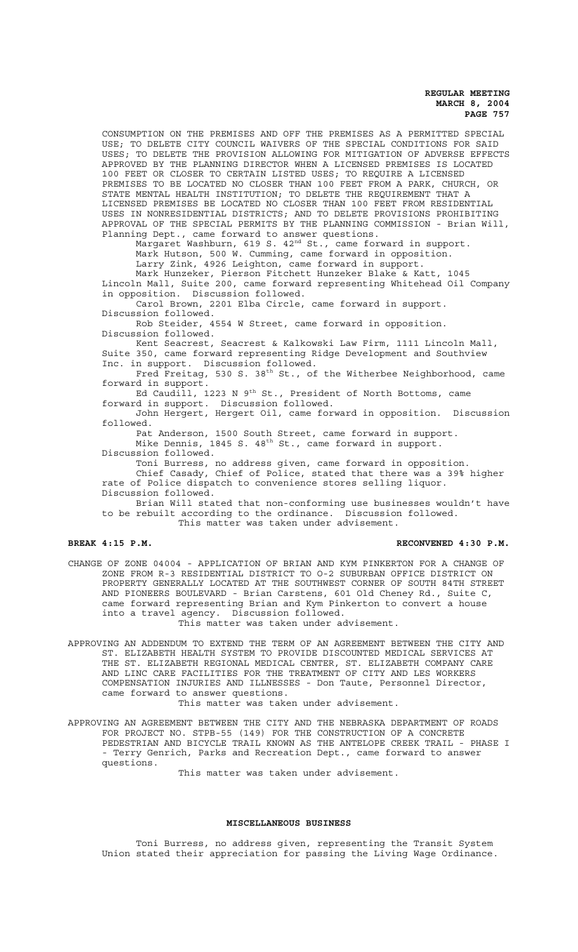CONSUMPTION ON THE PREMISES AND OFF THE PREMISES AS A PERMITTED SPECIAL USE; TO DELETE CITY COUNCIL WAIVERS OF THE SPECIAL CONDITIONS FOR SAID USES; TO DELETE THE PROVISION ALLOWING FOR MITIGATION OF ADVERSE EFFECTS APPROVED BY THE PLANNING DIRECTOR WHEN A LICENSED PREMISES IS LOCATED 100 FEET OR CLOSER TO CERTAIN LISTED USES; TO REQUIRE A LICENSED PREMISES TO BE LOCATED NO CLOSER THAN 100 FEET FROM A PARK, CHURCH, OR STATE MENTAL HEALTH INSTITUTION; TO DELETE THE REQUIREMENT THAT A LICENSED PREMISES BE LOCATED NO CLOSER THAN 100 FEET FROM RESIDENTIAL USES IN NONRESIDENTIAL DISTRICTS; AND TO DELETE PROVISIONS PROHIBITING APPROVAL OF THE SPECIAL PERMITS BY THE PLANNING COMMISSION - Brian Will, Planning Dept., came forward to answer questions. Margaret Washburn, 619 S. 42<sup>nd</sup> St., came forward in support. Mark Hutson, 500 W. Cumming, came forward in opposition. Larry Zink, 4926 Leighton, came forward in support. Mark Hunzeker, Pierson Fitchett Hunzeker Blake & Katt, 1045 Lincoln Mall, Suite 200, came forward representing Whitehead Oil Company in opposition. Discussion followed. Carol Brown, 2201 Elba Circle, came forward in support. Discussion followed. Rob Steider, 4554 W Street, came forward in opposition. Discussion followed. Kent Seacrest, Seacrest & Kalkowski Law Firm, 1111 Lincoln Mall, Suite 350, came forward representing Ridge Development and Southview Inc. in support. Discussion followed. Fred Freitag, 530 S. 38<sup>th</sup> St., of the Witherbee Neighborhood, came forward in support. Ed Caudill, 1223 N 9<sup>th</sup> St., President of North Bottoms, came forward in support. Discussion followed. John Hergert, Hergert Oil, came forward in opposition. Discussion followed. Pat Anderson, 1500 South Street, came forward in support. Mike Dennis, 1845 S. 48<sup>th</sup> St., came forward in support.

Discussion followed.

Toni Burress, no address given, came forward in opposition.

Chief Casady, Chief of Police, stated that there was a 39% higher rate of Police dispatch to convenience stores selling liquor. Discussion followed.

Brian Will stated that non-conforming use businesses wouldn't have to be rebuilt according to the ordinance. Discussion followed.

This matter was taken under advisement.

**BREAK 4:15 P.M. RECONVENED 4:30 P.M.**

CHANGE OF ZONE 04004 - APPLICATION OF BRIAN AND KYM PINKERTON FOR A CHANGE OF ZONE FROM R-3 RESIDENTIAL DISTRICT TO O-2 SUBURBAN OFFICE DISTRICT ON PROPERTY GENERALLY LOCATED AT THE SOUTHWEST CORNER OF SOUTH 84TH STREET AND PIONEERS BOULEVARD - Brian Carstens, 601 Old Cheney Rd., Suite C, came forward representing Brian and Kym Pinkerton to convert a house into a travel agency. Discussion followed.

This matter was taken under advisement.

APPROVING AN ADDENDUM TO EXTEND THE TERM OF AN AGREEMENT BETWEEN THE CITY AND ST. ELIZABETH HEALTH SYSTEM TO PROVIDE DISCOUNTED MEDICAL SERVICES AT THE ST. ELIZABETH REGIONAL MEDICAL CENTER, ST. ELIZABETH COMPANY CARE AND LINC CARE FACILITIES FOR THE TREATMENT OF CITY AND LES WORKERS COMPENSATION INJURIES AND ILLNESSES - Don Taute, Personnel Director, came forward to answer questions.

This matter was taken under advisement.

APPROVING AN AGREEMENT BETWEEN THE CITY AND THE NEBRASKA DEPARTMENT OF ROADS FOR PROJECT NO. STPB-55 (149) FOR THE CONSTRUCTION OF A CONCRETE PEDESTRIAN AND BICYCLE TRAIL KNOWN AS THE ANTELOPE CREEK TRAIL - PHASE I - Terry Genrich, Parks and Recreation Dept., came forward to answer questions.

This matter was taken under advisement.

## **MISCELLANEOUS BUSINESS**

Toni Burress, no address given, representing the Transit System Union stated their appreciation for passing the Living Wage Ordinance.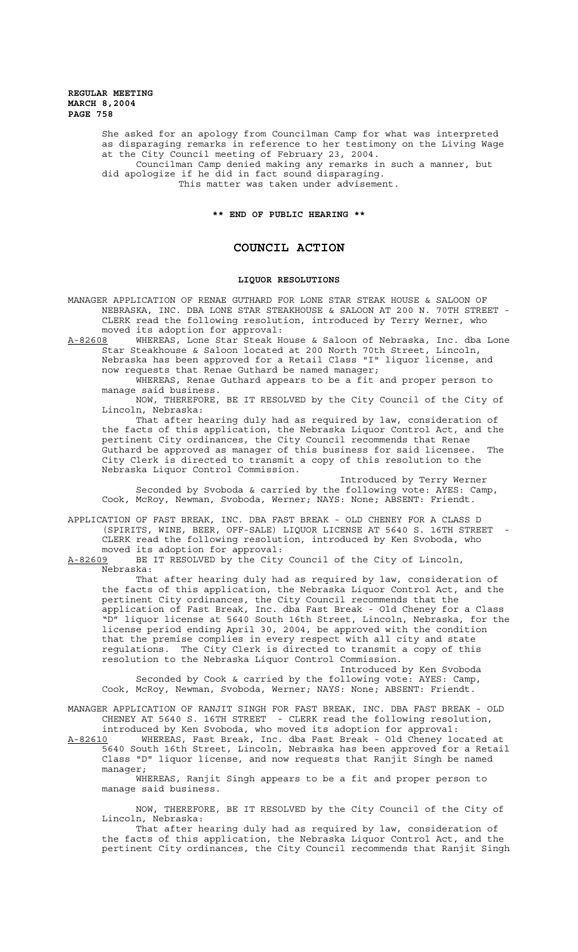> She asked for an apology from Councilman Camp for what was interpreted as disparaging remarks in reference to her testimony on the Living Wage at the City Council meeting of February 23, 2004. Councilman Camp denied making any remarks in such a manner, but

did apologize if he did in fact sound disparaging. This matter was taken under advisement.

**\*\* END OF PUBLIC HEARING \*\***

# **COUNCIL ACTION**

## **LIQUOR RESOLUTIONS**

MANAGER APPLICATION OF RENAE GUTHARD FOR LONE STAR STEAK HOUSE & SALOON OF NEBRASKA, INC. DBA LONE STAR STEAKHOUSE & SALOON AT 200 N. 70TH STREET - CLERK read the following resolution, introduced by Terry Werner, who moved its adoption for approval:<br>A-82608 WHEREAS, Lone Star Steak H

WHEREAS, Lone Star Steak House & Saloon of Nebraska, Inc. dba Lone Star Steakhouse & Saloon located at 200 North 70th Street, Lincoln, Nebraska has been approved for a Retail Class "I" liquor license, and now requests that Renae Guthard be named manager;

WHEREAS, Renae Guthard appears to be a fit and proper person to manage said business.

NOW, THEREFORE, BE IT RESOLVED by the City Council of the City of Lincoln, Nebraska:

That after hearing duly had as required by law, consideration of the facts of this application, the Nebraska Liquor Control Act, and the pertinent City ordinances, the City Council recommends that Renae Guthard be approved as manager of this business for said licensee. The City Clerk is directed to transmit a copy of this resolution to the Nebraska Liquor Control Commission.

Introduced by Terry Werner Seconded by Svoboda & carried by the following vote: AYES: Camp, Cook, McRoy, Newman, Svoboda, Werner; NAYS: None; ABSENT: Friendt.

APPLICATION OF FAST BREAK, INC. DBA FAST BREAK - OLD CHENEY FOR A CLASS D (SPIRITS, WINE, BEER, OFF-SALE) LIQUOR LICENSE AT 5640 S. 16TH STREET - CLERK read the following resolution, introduced by Ken Svoboda, who moved its adoption for approval:

A-82609 BE IT RESOLVED by the City Council of the City of Lincoln, Nebraska:

That after hearing duly had as required by law, consideration of the facts of this application, the Nebraska Liquor Control Act, and the pertinent City ordinances, the City Council recommends that the application of Fast Break, Inc. dba Fast Break - Old Cheney for a Class "D" liquor license at 5640 South 16th Street, Lincoln, Nebraska, for the license period ending April 30, 2004, be approved with the condition that the premise complies in every respect with all city and state regulations. The City Clerk is directed to transmit a copy of this resolution to the Nebraska Liquor Control Commission.

Introduced by Ken Svoboda Seconded by Cook & carried by the following vote: AYES: Camp, Cook, McRoy, Newman, Svoboda, Werner; NAYS: None; ABSENT: Friendt.

MANAGER APPLICATION OF RANJIT SINGH FOR FAST BREAK, INC. DBA FAST BREAK - OLD CHENEY AT 5640 S. 16TH STREET - CLERK read the following resolution, introduced by Ken Svoboda, who moved its adoption for approval:

A-82610 MHEREAS, Fast Break, Inc. dba Fast Break - Old Cheney located at 5640 South 16th Street, Lincoln, Nebraska has been approved for a Retail Class "D" liquor license, and now requests that Ranjit Singh be named manager;

WHEREAS, Ranjit Singh appears to be a fit and proper person to manage said business.

NOW, THEREFORE, BE IT RESOLVED by the City Council of the City of Lincoln, Nebraska:

That after hearing duly had as required by law, consideration of the facts of this application, the Nebraska Liquor Control Act, and the pertinent City ordinances, the City Council recommends that Ranjit Singh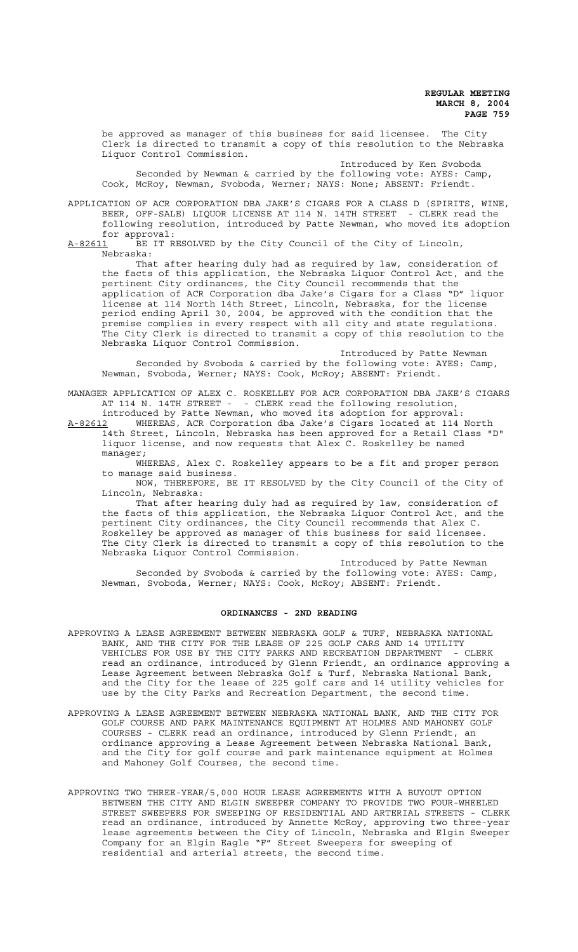be approved as manager of this business for said licensee. The City Clerk is directed to transmit a copy of this resolution to the Nebraska Liquor Control Commission.

Introduced by Ken Svoboda Seconded by Newman & carried by the following vote: AYES: Camp, Cook, McRoy, Newman, Svoboda, Werner; NAYS: None; ABSENT: Friendt.

APPLICATION OF ACR CORPORATION DBA JAKE'S CIGARS FOR A CLASS D (SPIRITS, WINE, BEER, OFF-SALE) LIQUOR LICENSE AT 114 N. 14TH STREET - CLERK read the following resolution, introduced by Patte Newman, who moved its adoption for approval:

A-82611 BE IT RESOLVED by the City Council of the City of Lincoln, Nebraska:

That after hearing duly had as required by law, consideration of the facts of this application, the Nebraska Liquor Control Act, and the pertinent City ordinances, the City Council recommends that the application of ACR Corporation dba Jake's Cigars for a Class "D" liquor license at 114 North 14th Street, Lincoln, Nebraska, for the license period ending April 30, 2004, be approved with the condition that the premise complies in every respect with all city and state regulations. The City Clerk is directed to transmit a copy of this resolution to the Nebraska Liquor Control Commission.

Introduced by Patte Newman Seconded by Svoboda & carried by the following vote: AYES: Camp, Newman, Svoboda, Werner; NAYS: Cook, McRoy; ABSENT: Friendt.

MANAGER APPLICATION OF ALEX C. ROSKELLEY FOR ACR CORPORATION DBA JAKE'S CIGARS AT 114 N. 14TH STREET - - CLERK read the following resolution, introduced by Patte Newman, who moved its adoption for approval:

A-82612 WHEREAS, ACR Corporation dba Jake's Cigars located at 114 North 14th Street, Lincoln, Nebraska has been approved for a Retail Class "D" liquor license, and now requests that Alex C. Roskelley be named manager;

WHEREAS, Alex C. Roskelley appears to be a fit and proper person to manage said business.

NOW, THEREFORE, BE IT RESOLVED by the City Council of the City of Lincoln, Nebraska:

That after hearing duly had as required by law, consideration of the facts of this application, the Nebraska Liquor Control Act, and the pertinent City ordinances, the City Council recommends that Alex C. Roskelley be approved as manager of this business for said licensee. The City Clerk is directed to transmit a copy of this resolution to the Nebraska Liquor Control Commission.

Introduced by Patte Newman Seconded by Svoboda & carried by the following vote: AYES: Camp, Newman, Svoboda, Werner; NAYS: Cook, McRoy; ABSENT: Friendt.

#### **ORDINANCES - 2ND READING**

- APPROVING A LEASE AGREEMENT BETWEEN NEBRASKA GOLF & TURF, NEBRASKA NATIONAL BANK, AND THE CITY FOR THE LEASE OF 225 GOLF CARS AND 14 UTILITY VEHICLES FOR USE BY THE CITY PARKS AND RECREATION DEPARTMENT - CLERK read an ordinance, introduced by Glenn Friendt, an ordinance approving a Lease Agreement between Nebraska Golf & Turf, Nebraska National Bank, and the City for the lease of 225 golf cars and 14 utility vehicles for use by the City Parks and Recreation Department, the second time.
- APPROVING A LEASE AGREEMENT BETWEEN NEBRASKA NATIONAL BANK, AND THE CITY FOR GOLF COURSE AND PARK MAINTENANCE EQUIPMENT AT HOLMES AND MAHONEY GOLF COURSES - CLERK read an ordinance, introduced by Glenn Friendt, an ordinance approving a Lease Agreement between Nebraska National Bank, and the City for golf course and park maintenance equipment at Holmes and Mahoney Golf Courses, the second time.
- APPROVING TWO THREE-YEAR/5,000 HOUR LEASE AGREEMENTS WITH A BUYOUT OPTION BETWEEN THE CITY AND ELGIN SWEEPER COMPANY TO PROVIDE TWO FOUR-WHEELED STREET SWEEPERS FOR SWEEPING OF RESIDENTIAL AND ARTERIAL STREETS - CLERK read an ordinance, introduced by Annette McRoy, approving two three-year lease agreements between the City of Lincoln, Nebraska and Elgin Sweeper Company for an Elgin Eagle "F" Street Sweepers for sweeping of residential and arterial streets, the second time.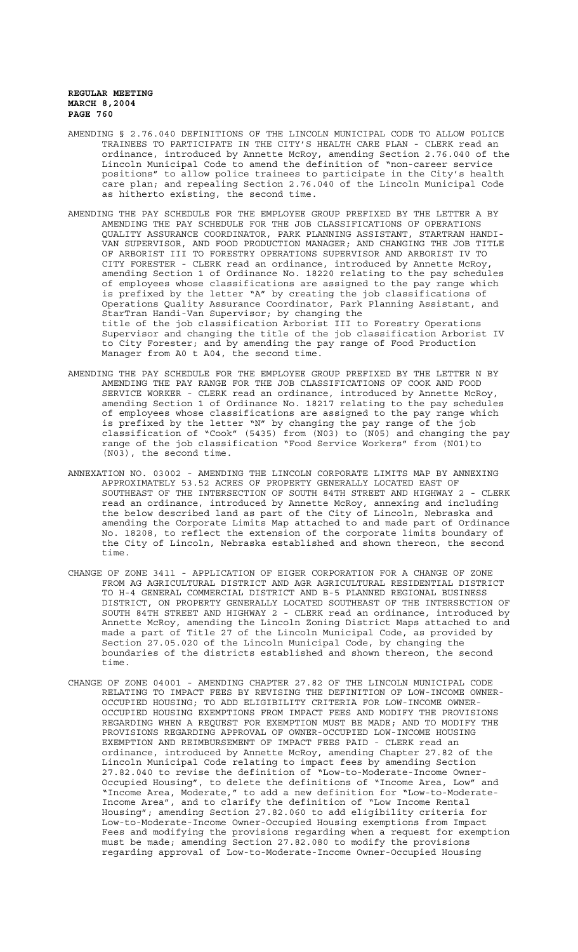- AMENDING § 2.76.040 DEFINITIONS OF THE LINCOLN MUNICIPAL CODE TO ALLOW POLICE TRAINEES TO PARTICIPATE IN THE CITY'S HEALTH CARE PLAN - CLERK read an ordinance, introduced by Annette McRoy, amending Section 2.76.040 of the Lincoln Municipal Code to amend the definition of "non-career service positions" to allow police trainees to participate in the City's health care plan; and repealing Section 2.76.040 of the Lincoln Municipal Code as hitherto existing, the second time.
- AMENDING THE PAY SCHEDULE FOR THE EMPLOYEE GROUP PREFIXED BY THE LETTER A BY AMENDING THE PAY SCHEDULE FOR THE JOB CLASSIFICATIONS OF OPERATIONS QUALITY ASSURANCE COORDINATOR, PARK PLANNING ASSISTANT, STARTRAN HANDI-VAN SUPERVISOR, AND FOOD PRODUCTION MANAGER; AND CHANGING THE JOB TITLE OF ARBORIST III TO FORESTRY OPERATIONS SUPERVISOR AND ARBORIST IV TO CITY FORESTER - CLERK read an ordinance, introduced by Annette McRoy, amending Section 1 of Ordinance No. 18220 relating to the pay schedules of employees whose classifications are assigned to the pay range which is prefixed by the letter "A" by creating the job classifications of Operations Quality Assurance Coordinator, Park Planning Assistant, and StarTran Handi-Van Supervisor; by changing the title of the job classification Arborist III to Forestry Operations Supervisor and changing the title of the job classification Arborist IV to City Forester; and by amending the pay range of Food Production Manager from A0 t A04, the second time.
- AMENDING THE PAY SCHEDULE FOR THE EMPLOYEE GROUP PREFIXED BY THE LETTER N BY AMENDING THE PAY RANGE FOR THE JOB CLASSIFICATIONS OF COOK AND FOOD SERVICE WORKER - CLERK read an ordinance, introduced by Annette McRoy, amending Section 1 of Ordinance No. 18217 relating to the pay schedules of employees whose classifications are assigned to the pay range which is prefixed by the letter "N" by changing the pay range of the job classification of "Cook" (5435) from (N03) to (N05) and changing the pay range of the job classification "Food Service Workers" from (N01)to (N03), the second time.
- ANNEXATION NO. 03002 AMENDING THE LINCOLN CORPORATE LIMITS MAP BY ANNEXING APPROXIMATELY 53.52 ACRES OF PROPERTY GENERALLY LOCATED EAST OF SOUTHEAST OF THE INTERSECTION OF SOUTH 84TH STREET AND HIGHWAY 2 - CLERK read an ordinance, introduced by Annette McRoy, annexing and including the below described land as part of the City of Lincoln, Nebraska and amending the Corporate Limits Map attached to and made part of Ordinance No. 18208, to reflect the extension of the corporate limits boundary of the City of Lincoln, Nebraska established and shown thereon, the second time.
- CHANGE OF ZONE 3411 APPLICATION OF EIGER CORPORATION FOR A CHANGE OF ZONE FROM AG AGRICULTURAL DISTRICT AND AGR AGRICULTURAL RESIDENTIAL DISTRICT TO H-4 GENERAL COMMERCIAL DISTRICT AND B-5 PLANNED REGIONAL BUSINESS DISTRICT, ON PROPERTY GENERALLY LOCATED SOUTHEAST OF THE INTERSECTION OF SOUTH 84TH STREET AND HIGHWAY 2 - CLERK read an ordinance, introduced by Annette McRoy, amending the Lincoln Zoning District Maps attached to and made a part of Title 27 of the Lincoln Municipal Code, as provided by Section 27.05.020 of the Lincoln Municipal Code, by changing the boundaries of the districts established and shown thereon, the second time.
- CHANGE OF ZONE 04001 AMENDING CHAPTER 27.82 OF THE LINCOLN MUNICIPAL CODE RELATING TO IMPACT FEES BY REVISING THE DEFINITION OF LOW-INCOME OWNER-OCCUPIED HOUSING; TO ADD ELIGIBILITY CRITERIA FOR LOW-INCOME OWNER-OCCUPIED HOUSING EXEMPTIONS FROM IMPACT FEES AND MODIFY THE PROVISIONS REGARDING WHEN A REQUEST FOR EXEMPTION MUST BE MADE; AND TO MODIFY THE PROVISIONS REGARDING APPROVAL OF OWNER-OCCUPIED LOW-INCOME HOUSING EXEMPTION AND REIMBURSEMENT OF IMPACT FEES PAID - CLERK read an ordinance, introduced by Annette McRoy, amending Chapter 27.82 of the Lincoln Municipal Code relating to impact fees by amending Section 27.82.040 to revise the definition of "Low-to-Moderate-Income Owner-Occupied Housing", to delete the definitions of "Income Area, Low" and "Income Area, Moderate," to add a new definition for "Low-to-Moderate-Income Area", and to clarify the definition of "Low Income Rental Housing"; amending Section 27.82.060 to add eligibility criteria for Low-to-Moderate-Income Owner-Occupied Housing exemptions from Impact Fees and modifying the provisions regarding when a request for exemption must be made; amending Section 27.82.080 to modify the provisions regarding approval of Low-to-Moderate-Income Owner-Occupied Housing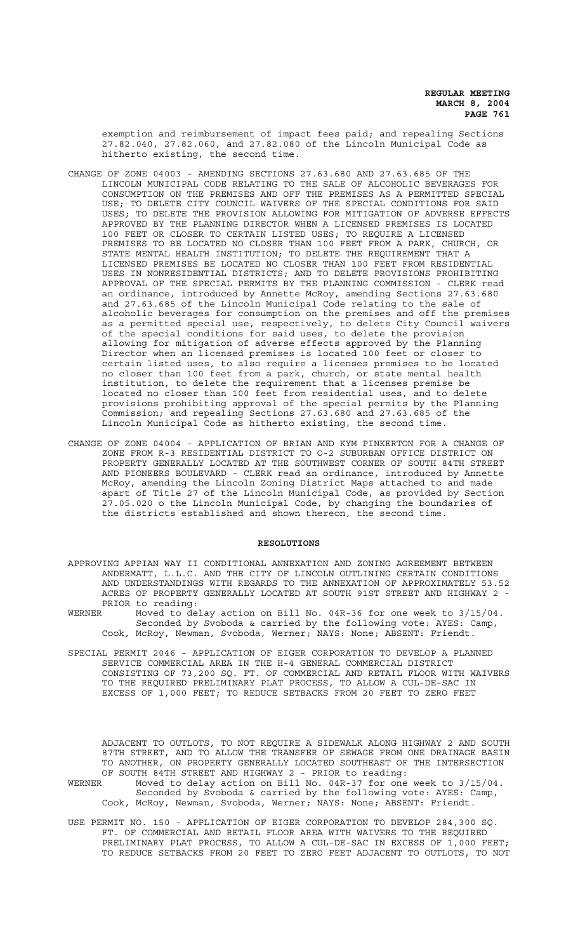exemption and reimbursement of impact fees paid; and repealing Sections 27.82.040, 27.82.060, and 27.82.080 of the Lincoln Municipal Code as hitherto existing, the second time.

- CHANGE OF ZONE 04003 AMENDING SECTIONS 27.63.680 AND 27.63.685 OF THE LINCOLN MUNICIPAL CODE RELATING TO THE SALE OF ALCOHOLIC BEVERAGES FOR CONSUMPTION ON THE PREMISES AND OFF THE PREMISES AS A PERMITTED SPECIAL USE; TO DELETE CITY COUNCIL WAIVERS OF THE SPECIAL CONDITIONS FOR SAID USES; TO DELETE THE PROVISION ALLOWING FOR MITIGATION OF ADVERSE EFFECTS APPROVED BY THE PLANNING DIRECTOR WHEN A LICENSED PREMISES IS LOCATED 100 FEET OR CLOSER TO CERTAIN LISTED USES; TO REQUIRE A LICENSED PREMISES TO BE LOCATED NO CLOSER THAN 100 FEET FROM A PARK, CHURCH, OR STATE MENTAL HEALTH INSTITUTION; TO DELETE THE REQUIREMENT THAT A LICENSED PREMISES BE LOCATED NO CLOSER THAN 100 FEET FROM RESIDENTIAL USES IN NONRESIDENTIAL DISTRICTS; AND TO DELETE PROVISIONS PROHIBITING APPROVAL OF THE SPECIAL PERMITS BY THE PLANNING COMMISSION - CLERK read an ordinance, introduced by Annette McRoy, amending Sections 27.63.680 and 27.63.685 of the Lincoln Municipal Code relating to the sale of alcoholic beverages for consumption on the premises and off the premises as a permitted special use, respectively, to delete City Council waivers of the special conditions for said uses, to delete the provision allowing for mitigation of adverse effects approved by the Planning Director when an licensed premises is located 100 feet or closer to certain listed uses, to also require a licenses premises to be located no closer than 100 feet from a park, church, or state mental health institution, to delete the requirement that a licenses premise be located no closer than 100 feet from residential uses, and to delete provisions prohibiting approval of the special permits by the Planning Commission; and repealing Sections 27.63.680 and 27.63.685 of the Lincoln Municipal Code as hitherto existing, the second time.
- CHANGE OF ZONE 04004 APPLICATION OF BRIAN AND KYM PINKERTON FOR A CHANGE OF ZONE FROM R-3 RESIDENTIAL DISTRICT TO O-2 SUBURBAN OFFICE DISTRICT ON PROPERTY GENERALLY LOCATED AT THE SOUTHWEST CORNER OF SOUTH 84TH STREET AND PIONEERS BOULEVARD - CLERK read an ordinance, introduced by Annette McRoy, amending the Lincoln Zoning District Maps attached to and made apart of Title 27 of the Lincoln Municipal Code, as provided by Section 27.05.020 o the Lincoln Municipal Code, by changing the boundaries of the districts established and shown thereon, the second time.

## **RESOLUTIONS**

- APPROVING APPIAN WAY II CONDITIONAL ANNEXATION AND ZONING AGREEMENT BETWEEN ANDERMATT, L.L.C. AND THE CITY OF LINCOLN OUTLINING CERTAIN CONDITIONS AND UNDERSTANDINGS WITH REGARDS TO THE ANNEXATION OF APPROXIMATELY 53.52 ACRES OF PROPERTY GENERALLY LOCATED AT SOUTH 91ST STREET AND HIGHWAY 2 -PRIOR to reading:<br>WERNER Moved to de
- Moved to delay action on Bill No. 04R-36 for one week to  $3/15/04$ . Seconded by Svoboda & carried by the following vote: AYES: Camp, Cook, McRoy, Newman, Svoboda, Werner; NAYS: None; ABSENT: Friendt.
- SPECIAL PERMIT 2046 APPLICATION OF EIGER CORPORATION TO DEVELOP A PLANNED SERVICE COMMERCIAL AREA IN THE H-4 GENERAL COMMERCIAL DISTRICT CONSISTING OF 73,200 SQ. FT. OF COMMERCIAL AND RETAIL FLOOR WITH WAIVERS TO THE REQUIRED PRELIMINARY PLAT PROCESS, TO ALLOW A CUL-DE-SAC IN EXCESS OF 1,000 FEET; TO REDUCE SETBACKS FROM 20 FEET TO ZERO FEET

ADJACENT TO OUTLOTS, TO NOT REQUIRE A SIDEWALK ALONG HIGHWAY 2 AND SOUTH 87TH STREET, AND TO ALLOW THE TRANSFER OF SEWAGE FROM ONE DRAINAGE BASIN TO ANOTHER, ON PROPERTY GENERALLY LOCATED SOUTHEAST OF THE INTERSECTION OF SOUTH 84TH STREET AND HIGHWAY 2 - PRIOR to reading:

WERNER Moved to delay action on Bill No. 04R-37 for one week to 3/15/04. Seconded by Svoboda & carried by the following vote: AYES: Camp, Cook, McRoy, Newman, Svoboda, Werner; NAYS: None; ABSENT: Friendt.

USE PERMIT NO. 150 - APPLICATION OF EIGER CORPORATION TO DEVELOP 284,300 SQ. FT. OF COMMERCIAL AND RETAIL FLOOR AREA WITH WAIVERS TO THE REQUIRED PRELIMINARY PLAT PROCESS, TO ALLOW A CUL-DE-SAC IN EXCESS OF 1,000 FEET; TO REDUCE SETBACKS FROM 20 FEET TO ZERO FEET ADJACENT TO OUTLOTS, TO NOT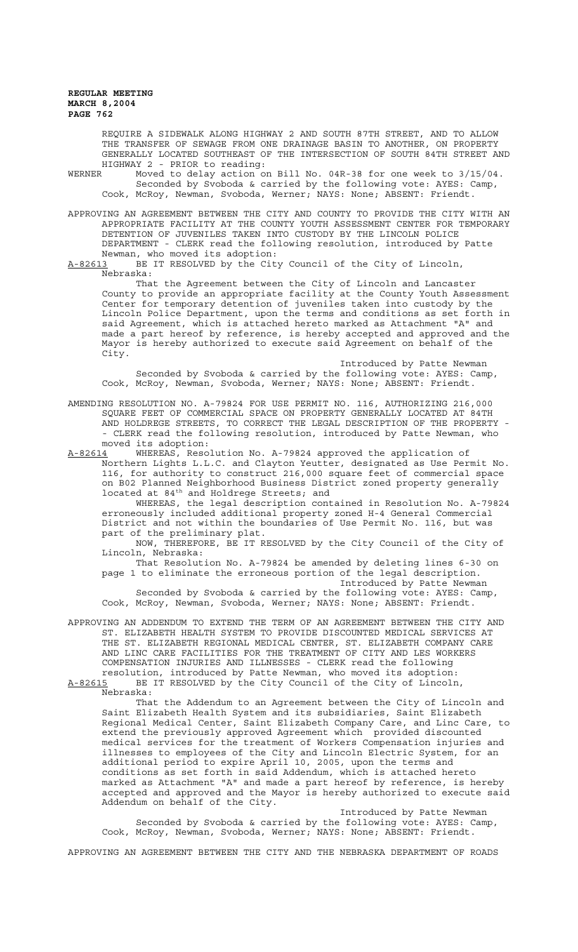REQUIRE A SIDEWALK ALONG HIGHWAY 2 AND SOUTH 87TH STREET, AND TO ALLOW THE TRANSFER OF SEWAGE FROM ONE DRAINAGE BASIN TO ANOTHER, ON PROPERTY GENERALLY LOCATED SOUTHEAST OF THE INTERSECTION OF SOUTH 84TH STREET AND HIGHWAY 2 - PRIOR to reading:<br>WERNER Moved to delay action on

Moved to delay action on Bill No. 04R-38 for one week to 3/15/04. Seconded by Svoboda & carried by the following vote: AYES: Camp, Cook, McRoy, Newman, Svoboda, Werner; NAYS: None; ABSENT: Friendt.

APPROVING AN AGREEMENT BETWEEN THE CITY AND COUNTY TO PROVIDE THE CITY WITH AN APPROPRIATE FACILITY AT THE COUNTY YOUTH ASSESSMENT CENTER FOR TEMPORARY DETENTION OF JUVENILES TAKEN INTO CUSTODY BY THE LINCOLN POLICE DEPARTMENT - CLERK read the following resolution, introduced by Patte Newman, who moved its adoption:<br>A-82613 BE IT RESOLVED by the Cit

BE IT RESOLVED by the City Council of the City of Lincoln, Nebraska:

That the Agreement between the City of Lincoln and Lancaster County to provide an appropriate facility at the County Youth Assessment Center for temporary detention of juveniles taken into custody by the Lincoln Police Department, upon the terms and conditions as set forth in said Agreement, which is attached hereto marked as Attachment "A" and made a part hereof by reference, is hereby accepted and approved and the Mayor is hereby authorized to execute said Agreement on behalf of the City.

Introduced by Patte Newman Seconded by Svoboda & carried by the following vote: AYES: Camp, Cook, McRoy, Newman, Svoboda, Werner; NAYS: None; ABSENT: Friendt.

AMENDING RESOLUTION NO. A-79824 FOR USE PERMIT NO. 116, AUTHORIZING 216,000 SQUARE FEET OF COMMERCIAL SPACE ON PROPERTY GENERALLY LOCATED AT 84TH AND HOLDREGE STREETS, TO CORRECT THE LEGAL DESCRIPTION OF THE PROPERTY - - CLERK read the following resolution, introduced by Patte Newman, who moved its adoption:<br>A-82614 WHEREAS, Reso

WHEREAS, Resolution No. A-79824 approved the application of Northern Lights L.L.C. and Clayton Yeutter, designated as Use Permit No. 116, for authority to construct 216,000 square feet of commercial space on B02 Planned Neighborhood Business District zoned property generally located at 84<sup>th</sup> and Holdrege Streets; and

WHEREAS, the legal description contained in Resolution No. A-79824 erroneously included additional property zoned H-4 General Commercial District and not within the boundaries of Use Permit No. 116, but was part of the preliminary plat.

NOW, THEREFORE, BE IT RESOLVED by the City Council of the City of Lincoln, Nebraska:

That Resolution No. A-79824 be amended by deleting lines 6-30 on page 1 to eliminate the erroneous portion of the legal description. Introduced by Patte Newman

Seconded by Svoboda & carried by the following vote: AYES: Camp, Cook, McRoy, Newman, Svoboda, Werner; NAYS: None; ABSENT: Friendt.

APPROVING AN ADDENDUM TO EXTEND THE TERM OF AN AGREEMENT BETWEEN THE CITY AND ST. ELIZABETH HEALTH SYSTEM TO PROVIDE DISCOUNTED MEDICAL SERVICES AT THE ST. ELIZABETH REGIONAL MEDICAL CENTER, ST. ELIZABETH COMPANY CARE AND LINC CARE FACILITIES FOR THE TREATMENT OF CITY AND LES WORKERS COMPENSATION INJURIES AND ILLNESSES - CLERK read the following resolution, introduced by Patte Newman, who moved its adoption:

A-82615 BE IT RESOLVED by the City Council of the City of Lincoln, Nebraska:

That the Addendum to an Agreement between the City of Lincoln and Saint Elizabeth Health System and its subsidiaries, Saint Elizabeth Regional Medical Center, Saint Elizabeth Company Care, and Linc Care, to extend the previously approved Agreement which provided discounted medical services for the treatment of Workers Compensation injuries and illnesses to employees of the City and Lincoln Electric System, for an additional period to expire April 10, 2005, upon the terms and conditions as set forth in said Addendum, which is attached hereto marked as Attachment "A" and made a part hereof by reference, is hereby accepted and approved and the Mayor is hereby authorized to execute said Addendum on behalf of the City.

Introduced by Patte Newman Seconded by Svoboda & carried by the following vote: AYES: Camp, Cook, McRoy, Newman, Svoboda, Werner; NAYS: None; ABSENT: Friendt.

APPROVING AN AGREEMENT BETWEEN THE CITY AND THE NEBRASKA DEPARTMENT OF ROADS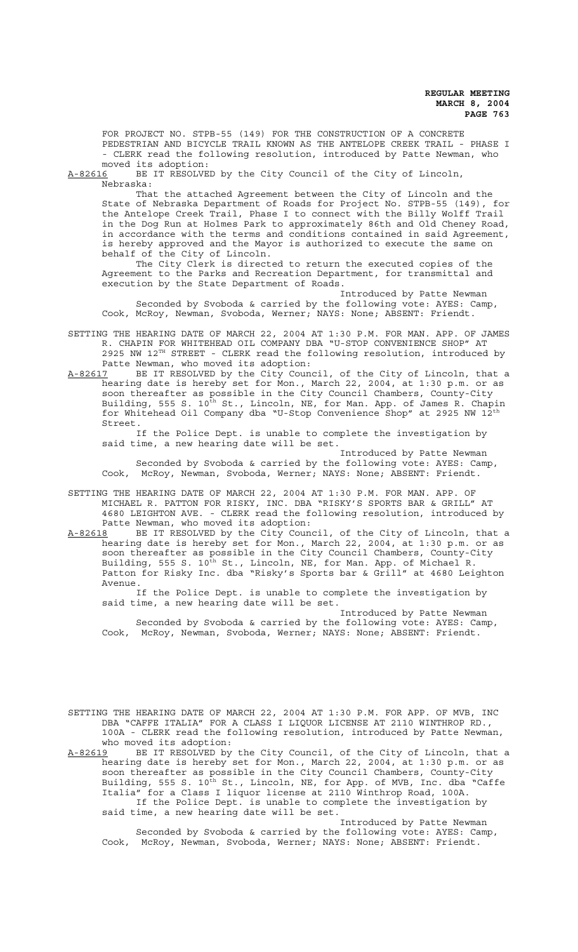FOR PROJECT NO. STPB-55 (149) FOR THE CONSTRUCTION OF A CONCRETE PEDESTRIAN AND BICYCLE TRAIL KNOWN AS THE ANTELOPE CREEK TRAIL - PHASE I - CLERK read the following resolution, introduced by Patte Newman, who moved its adoption:

A-82616 BE IT RESOLVED by the City Council of the City of Lincoln, Nebraska:

That the attached Agreement between the City of Lincoln and the State of Nebraska Department of Roads for Project No. STPB-55 (149), for the Antelope Creek Trail, Phase I to connect with the Billy Wolff Trail in the Dog Run at Holmes Park to approximately 86th and Old Cheney Road, in accordance with the terms and conditions contained in said Agreement, is hereby approved and the Mayor is authorized to execute the same on behalf of the City of Lincoln.

The City Clerk is directed to return the executed copies of the Agreement to the Parks and Recreation Department, for transmittal and execution by the State Department of Roads.

Introduced by Patte Newman Seconded by Svoboda & carried by the following vote: AYES: Camp, Cook, McRoy, Newman, Svoboda, Werner; NAYS: None; ABSENT: Friendt.

SETTING THE HEARING DATE OF MARCH 22, 2004 AT 1:30 P.M. FOR MAN. APP. OF JAMES R. CHAPIN FOR WHITEHEAD OIL COMPANY DBA "U-STOP CONVENIENCE SHOP" AT 2925 NW 12TH STREET - CLERK read the following resolution, introduced by Patte Newman, who moved its adoption:

A-82617 BE IT RESOLVED by the City Council, of the City of Lincoln, that a hearing date is hereby set for Mon., March 22, 2004, at 1:30 p.m. or as soon thereafter as possible in the City Council Chambers, County-City Building, 555 S. 10th St., Lincoln, NE, for Man. App. of James R. Chapin for Whitehead Oil Company dba "U-Stop Convenience Shop" at 2925 NW 12th Street.

If the Police Dept. is unable to complete the investigation by said time, a new hearing date will be set.

Introduced by Patte Newman Seconded by Svoboda & carried by the following vote: AYES: Camp, Cook, McRoy, Newman, Svoboda, Werner; NAYS: None; ABSENT: Friendt.

SETTING THE HEARING DATE OF MARCH 22, 2004 AT 1:30 P.M. FOR MAN. APP. OF MICHAEL R. PATTON FOR RISKY, INC. DBA "RISKY'S SPORTS BAR & GRILL" AT 4680 LEIGHTON AVE. - CLERK read the following resolution, introduced by Patte Newman, who moved its adoption:

A-82618 BE IT RESOLVED by the City Council, of the City of Lincoln, that a hearing date is hereby set for Mon., March 22, 2004, at 1:30 p.m. or as soon thereafter as possible in the City Council Chambers, County-City Building, 555 S. 10<sup>th</sup> St., Lincoln, NE, for Man. App. of Michael R. Patton for Risky Inc. dba "Risky's Sports bar & Grill" at 4680 Leighton Avenue.

If the Police Dept. is unable to complete the investigation by said time, a new hearing date will be set.

Introduced by Patte Newman Seconded by Svoboda & carried by the following vote: AYES: Camp, Cook, McRoy, Newman, Svoboda, Werner; NAYS: None; ABSENT: Friendt.

SETTING THE HEARING DATE OF MARCH 22, 2004 AT 1:30 P.M. FOR APP. OF MVB, INC DBA "CAFFE ITALIA" FOR A CLASS I LIQUOR LICENSE AT 2110 WINTHROP RD., 100A - CLERK read the following resolution, introduced by Patte Newman, who moved its adoption:

A-82619 BE IT RESOLVED by the City Council, of the City of Lincoln, that a hearing date is hereby set for Mon., March 22, 2004, at 1:30 p.m. or as soon thereafter as possible in the City Council Chambers, County-City Building, 555 S. 10<sup>th</sup> St., Lincoln, NE, for App. of MVB, Inc. dba "Caffe Italia" for a Class I liquor license at 2110 Winthrop Road, 100A. If the Police Dept. is unable to complete the investigation by said time, a new hearing date will be set.

Introduced by Patte Newman Seconded by Svoboda & carried by the following vote: AYES: Camp, Cook, McRoy, Newman, Svoboda, Werner; NAYS: None; ABSENT: Friendt.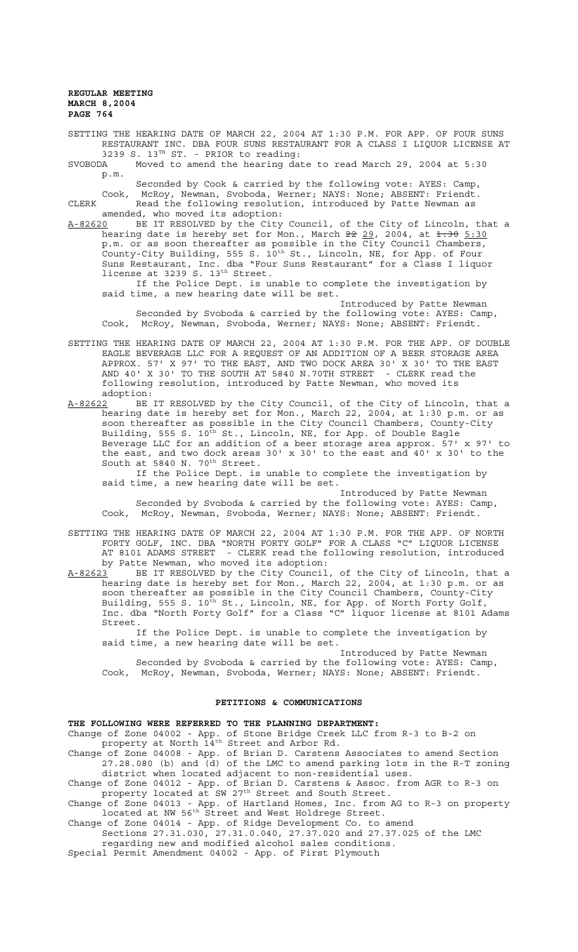SETTING THE HEARING DATE OF MARCH 22, 2004 AT 1:30 P.M. FOR APP. OF FOUR SUNS RESTAURANT INC. DBA FOUR SUNS RESTAURANT FOR A CLASS I LIQUOR LICENSE AT 3239 S. 13<sup>TH</sup> ST. - PRIOR to reading:

SVOBODA Moved to amend the hearing date to read March 29, 2004 at 5:30 p.m.

Seconded by Cook & carried by the following vote: AYES: Camp,

Cook, McRoy, Newman, Svoboda, Werner; NAYS: None; ABSENT: Friendt. CLERK Read the following resolution, introduced by Patte Newman as amended, who moved its adoption:

A-82620 BE IT RESOLVED by the City Council, of the City of Lincoln, that a hearing date is hereby set for Mon., March <del>22</del> 29, 2004, at <del>1:30</del> 5:30 p.m. or as soon thereafter as possible in the City Council Chambers, County-City Building, 555 S. 10<sup>th</sup> St., Lincoln, NE, for App. of Four Suns Restaurant, Inc. dba "Four Suns Restaurant" for a Class I liquor license at 3239 S. 13<sup>th</sup> Street.

If the Police Dept. is unable to complete the investigation by said time, a new hearing date will be set.

Introduced by Patte Newman Seconded by Svoboda & carried by the following vote: AYES: Camp, Cook, McRoy, Newman, Svoboda, Werner; NAYS: None; ABSENT: Friendt.

SETTING THE HEARING DATE OF MARCH 22, 2004 AT 1:30 P.M. FOR THE APP. OF DOUBLE EAGLE BEVERAGE LLC FOR A REQUEST OF AN ADDITION OF A BEER STORAGE AREA APPROX. 57' X 97' TO THE EAST, AND TWO DOCK AREA 30' X 30' TO THE EAST AND 40' X 30' TO THE SOUTH AT 5840 N.70TH STREET - CLERK read the following resolution, introduced by Patte Newman, who moved its adoption:

A-82622 BE IT RESOLVED by the City Council, of the City of Lincoln, that a hearing date is hereby set for Mon., March 22, 2004, at 1:30 p.m. or as soon thereafter as possible in the City Council Chambers, County-City Building, 555 S. 10<sup>th</sup> St., Lincoln, NE, for App. of Double Eagle Beverage LLC for an addition of a beer storage area approx. 57' x 97' to the east, and two dock areas 30' x 30' to the east and 40' x 30' to the South at 5840 N. 70<sup>th</sup> Street.

If the Police Dept. is unable to complete the investigation by said time, a new hearing date will be set.

Introduced by Patte Newman Seconded by Svoboda & carried by the following vote: AYES: Camp, Cook, McRoy, Newman, Svoboda, Werner; NAYS: None; ABSENT: Friendt.

SETTING THE HEARING DATE OF MARCH 22, 2004 AT 1:30 P.M. FOR THE APP. OF NORTH FORTY GOLF, INC. DBA "NORTH FORTY GOLF" FOR A CLASS "C" LIQUOR LICENSE AT 8101 ADAMS STREET - CLERK read the following resolution, introduced by Patte Newman, who moved its adoption:

A-82623<sup>-</sup> BE IT RESOLVED by the City Council, of the City of Lincoln, that a hearing date is hereby set for Mon., March 22, 2004, at 1:30 p.m. or as soon thereafter as possible in the City Council Chambers, County-City Building, 555 S.  $10^{\text{th}}$  St., Lincoln, NE, for App. of North Forty Golf, Inc. dba "North Forty Golf" for a Class "C" liquor license at 8101 Adams Street.

If the Police Dept. is unable to complete the investigation by said time, a new hearing date will be set.

Introduced by Patte Newman Seconded by Svoboda & carried by the following vote: AYES: Camp, Cook, McRoy, Newman, Svoboda, Werner; NAYS: None; ABSENT: Friendt.

## **PETITIONS & COMMUNICATIONS**

## **THE FOLLOWING WERE REFERRED TO THE PLANNING DEPARTMENT:**

Change of Zone 04002 - App. of Stone Bridge Creek LLC from R-3 to B-2 on property at North 14<sup>th</sup> Street and Arbor Rd.

Change of Zone 04008 - App. of Brian D. Carstens Associates to amend Section 27.28.080 (b) and (d) of the LMC to amend parking lots in the R-T zoning district when located adjacent to non-residential uses.

Change of Zone 04012 - App. of Brian D. Carstens & Assoc. from AGR to R-3 on property located at SW 27<sup>th</sup> Street and South Street.

Change of Zone 04013 - App. of Hartland Homes, Inc. from AG to R-3 on property located at NW 56<sup>th</sup> Street and West Holdrege Street.

Change of Zone 04014 - App. of Ridge Development Co. to amend

Sections 27.31.030, 27.31.0.040, 27.37.020 and 27.37.025 of the LMC regarding new and modified alcohol sales conditions.

Special Permit Amendment 04002 - App. of First Plymouth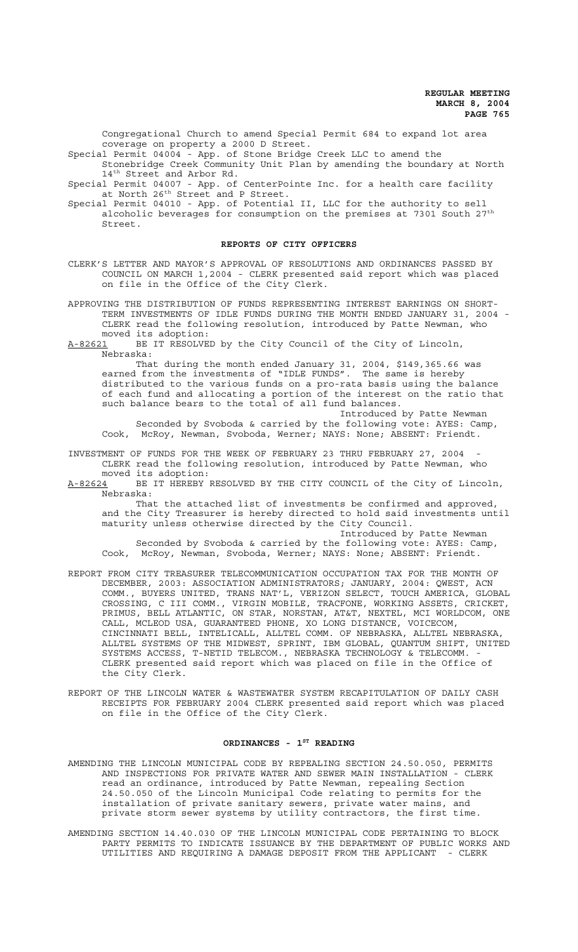Congregational Church to amend Special Permit 684 to expand lot area coverage on property a 2000 D Street.

Special Permit 04004 - App. of Stone Bridge Creek LLC to amend the Stonebridge Creek Community Unit Plan by amending the boundary at North 14<sup>th</sup> Street and Arbor Rd.

Special Permit 04007 - App. of CenterPointe Inc. for a health care facility at North 26<sup>th</sup> Street and P Street.

Special Permit 04010 - App. of Potential II, LLC for the authority to sell alcoholic beverages for consumption on the premises at 7301 South 27<sup>th</sup> Street.

## **REPORTS OF CITY OFFICERS**

- CLERK'S LETTER AND MAYOR'S APPROVAL OF RESOLUTIONS AND ORDINANCES PASSED BY COUNCIL ON MARCH 1,2004 - CLERK presented said report which was placed on file in the Office of the City Clerk.
- APPROVING THE DISTRIBUTION OF FUNDS REPRESENTING INTEREST EARNINGS ON SHORT-TERM INVESTMENTS OF IDLE FUNDS DURING THE MONTH ENDED JANUARY 31, 2004 - CLERK read the following resolution, introduced by Patte Newman, who moved its adoption:

A-82621 BE IT RESOLVED by the City Council of the City of Lincoln, Nebraska:

That during the month ended January 31, 2004, \$149,365.66 was earned from the investments of "IDLE FUNDS". The same is hereby distributed to the various funds on a pro-rata basis using the balance of each fund and allocating a portion of the interest on the ratio that such balance bears to the total of all fund balances.

Introduced by Patte Newman Seconded by Svoboda & carried by the following vote: AYES: Camp, Cook, McRoy, Newman, Svoboda, Werner; NAYS: None; ABSENT: Friendt.

INVESTMENT OF FUNDS FOR THE WEEK OF FEBRUARY 23 THRU FEBRUARY 27, 2004 CLERK read the following resolution, introduced by Patte Newman, who moved its adoption:

A-82624 BE IT HEREBY RESOLVED BY THE CITY COUNCIL of the City of Lincoln, Nebraska:

That the attached list of investments be confirmed and approved, and the City Treasurer is hereby directed to hold said investments until maturity unless otherwise directed by the City Council. Introduced by Patte Newman

Seconded by Svoboda & carried by the following vote: AYES: Camp, Cook, McRoy, Newman, Svoboda, Werner; NAYS: None; ABSENT: Friendt.

- REPORT FROM CITY TREASURER TELECOMMUNICATION OCCUPATION TAX FOR THE MONTH OF DECEMBER, 2003: ASSOCIATION ADMINISTRATORS; JANUARY, 2004: QWEST, ACN COMM., BUYERS UNITED, TRANS NAT'L, VERIZON SELECT, TOUCH AMERICA, GLOBAL CROSSING, C III COMM., VIRGIN MOBILE, TRACFONE, WORKING ASSETS, CRICKET, PRIMUS, BELL ATLANTIC, ON STAR, NORSTAN, AT&T, NEXTEL, MCI WORLDCOM, ONE CALL, MCLEOD USA, GUARANTEED PHONE, XO LONG DISTANCE, VOICECOM, CINCINNATI BELL, INTELICALL, ALLTEL COMM. OF NEBRASKA, ALLTEL NEBRASKA, ALLTEL SYSTEMS OF THE MIDWEST, SPRINT, IBM GLOBAL, QUANTUM SHIFT, UNITED SYSTEMS ACCESS, T-NETID TELECOM., NEBRASKA TECHNOLOGY & TELECOMM. CLERK presented said report which was placed on file in the Office of the City Clerk.
- REPORT OF THE LINCOLN WATER & WASTEWATER SYSTEM RECAPITULATION OF DAILY CASH RECEIPTS FOR FEBRUARY 2004 CLERK presented said report which was placed on file in the Office of the City Clerk.

## ORDINANCES - 1<sup>ST</sup> READING

- AMENDING THE LINCOLN MUNICIPAL CODE BY REPEALING SECTION 24.50.050, PERMITS AND INSPECTIONS FOR PRIVATE WATER AND SEWER MAIN INSTALLATION - CLERK read an ordinance, introduced by Patte Newman, repealing Section 24.50.050 of the Lincoln Municipal Code relating to permits for the installation of private sanitary sewers, private water mains, and private storm sewer systems by utility contractors, the first time.
- AMENDING SECTION 14.40.030 OF THE LINCOLN MUNICIPAL CODE PERTAINING TO BLOCK PARTY PERMITS TO INDICATE ISSUANCE BY THE DEPARTMENT OF PUBLIC WORKS AND UTILITIES AND REQUIRING A DAMAGE DEPOSIT FROM THE APPLICANT - CLERK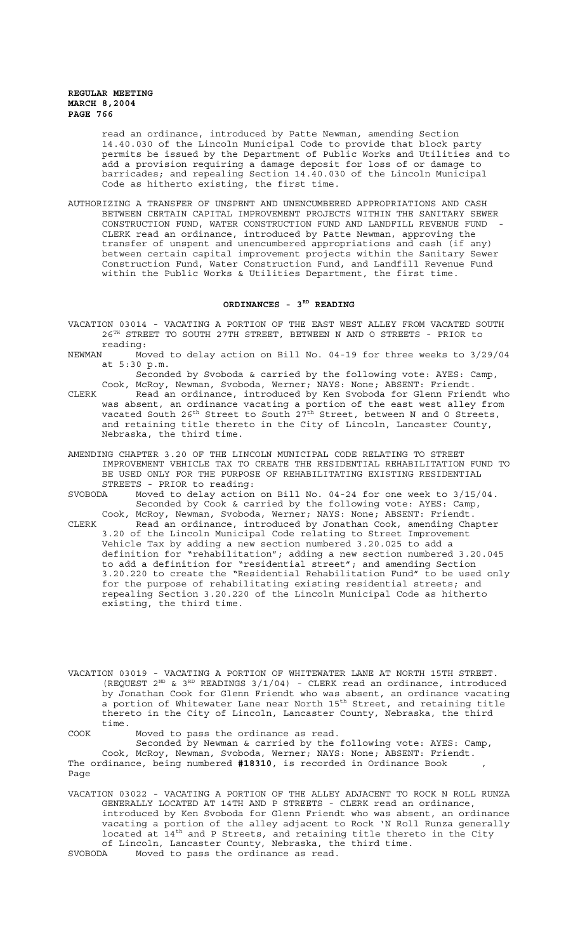> read an ordinance, introduced by Patte Newman, amending Section 14.40.030 of the Lincoln Municipal Code to provide that block party permits be issued by the Department of Public Works and Utilities and to add a provision requiring a damage deposit for loss of or damage to barricades; and repealing Section 14.40.030 of the Lincoln Municipal Code as hitherto existing, the first time.

AUTHORIZING A TRANSFER OF UNSPENT AND UNENCUMBERED APPROPRIATIONS AND CASH BETWEEN CERTAIN CAPITAL IMPROVEMENT PROJECTS WITHIN THE SANITARY SEWER CONSTRUCTION FUND, WATER CONSTRUCTION FUND AND LANDFILL REVENUE FUND - CLERK read an ordinance, introduced by Patte Newman, approving the transfer of unspent and unencumbered appropriations and cash (if any) between certain capital improvement projects within the Sanitary Sewer Construction Fund, Water Construction Fund, and Landfill Revenue Fund within the Public Works & Utilities Department, the first time.

#### ORDINANCES - 3<sup>RD</sup> READING

- VACATION 03014 VACATING A PORTION OF THE EAST WEST ALLEY FROM VACATED SOUTH 26TH STREET TO SOUTH 27TH STREET, BETWEEN N AND O STREETS - PRIOR to reading:
- NEWMAN Moved to delay action on Bill No. 04-19 for three weeks to 3/29/04 at 5:30 p.m.

Seconded by Svoboda & carried by the following vote: AYES: Camp, Cook, McRoy, Newman, Svoboda, Werner; NAYS: None; ABSENT: Friendt.

- CLERK Read an ordinance, introduced by Ken Svoboda for Glenn Friendt who was absent, an ordinance vacating a portion of the east west alley from vacated South 26<sup>th</sup> Street to South 27<sup>th</sup> Street, between N and O Streets, and retaining title thereto in the City of Lincoln, Lancaster County, Nebraska, the third time.
- AMENDING CHAPTER 3.20 OF THE LINCOLN MUNICIPAL CODE RELATING TO STREET IMPROVEMENT VEHICLE TAX TO CREATE THE RESIDENTIAL REHABILITATION FUND TO BE USED ONLY FOR THE PURPOSE OF REHABILITATING EXISTING RESIDENTIAL STREETS - PRIOR to reading:
- SVOBODA Moved to delay action on Bill No. 04-24 for one week to 3/15/04. Seconded by Cook & carried by the following vote: AYES: Camp, Cook, McRoy, Newman, Svoboda, Werner; NAYS: None; ABSENT: Friendt.
- CLERK Read an ordinance, introduced by Jonathan Cook, amending Chapter 3.20 of the Lincoln Municipal Code relating to Street Improvement Vehicle Tax by adding a new section numbered 3.20.025 to add a definition for "rehabilitation"; adding a new section numbered 3.20.045 to add a definition for "residential street"; and amending Section 3.20.220 to create the "Residential Rehabilitation Fund" to be used only for the purpose of rehabilitating existing residential streets; and repealing Section 3.20.220 of the Lincoln Municipal Code as hitherto existing, the third time.

VACATION 03019 - VACATING A PORTION OF WHITEWATER LANE AT NORTH 15TH STREET. (REQUEST  $2^{ND}$  &  $3^{RD}$  READINGS  $3/1/04$ ) - CLERK read an ordinance, introduced by Jonathan Cook for Glenn Friendt who was absent, an ordinance vacating a portion of Whitewater Lane near North 15<sup>th</sup> Street, and retaining title thereto in the City of Lincoln, Lancaster County, Nebraska, the third time.

COOK Moved to pass the ordinance as read.

Seconded by Newman & carried by the following vote: AYES: Camp, Cook, McRoy, Newman, Svoboda, Werner; NAYS: None; ABSENT: Friendt. The ordinance, being numbered **#18310**, is recorded in Ordinance Book , Page

VACATION 03022 - VACATING A PORTION OF THE ALLEY ADJACENT TO ROCK N ROLL RUNZA GENERALLY LOCATED AT 14TH AND P STREETS - CLERK read an ordinance, introduced by Ken Svoboda for Glenn Friendt who was absent, an ordinance vacating a portion of the alley adjacent to Rock 'N Roll Runza generally located at  $14^{\text{th}}$  and P Streets, and retaining title thereto in the City of Lincoln, Lancaster County, Nebraska, the third time. SVOBODA Moved to pass the ordinance as read.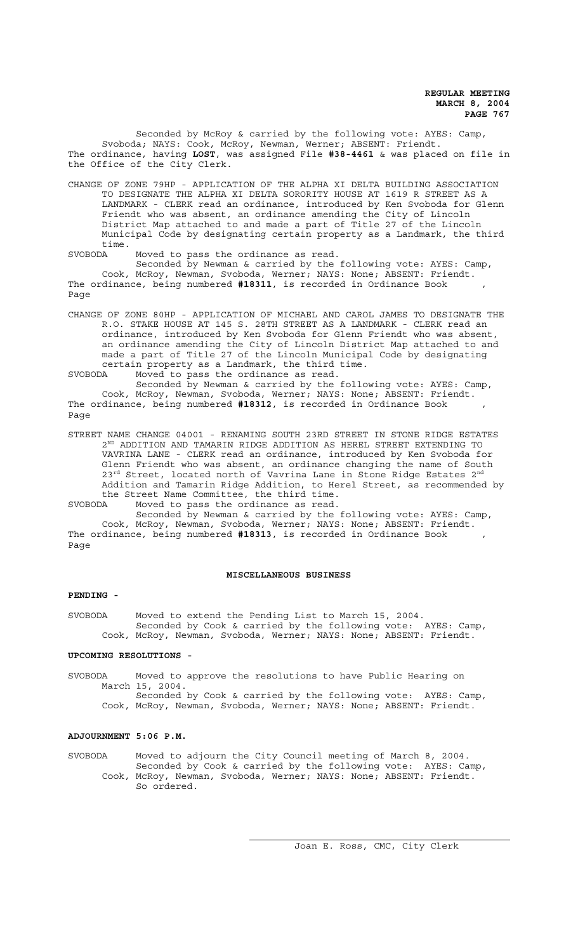Seconded by McRoy & carried by the following vote: AYES: Camp, Svoboda; NAYS: Cook, McRoy, Newman, Werner; ABSENT: Friendt. The ordinance, having **LOST**, was assigned File **#38-4461** & was placed on file in the Office of the City Clerk.

CHANGE OF ZONE 79HP - APPLICATION OF THE ALPHA XI DELTA BUILDING ASSOCIATION TO DESIGNATE THE ALPHA XI DELTA SORORITY HOUSE AT 1619 R STREET AS A LANDMARK - CLERK read an ordinance, introduced by Ken Svoboda for Glenn Friendt who was absent, an ordinance amending the City of Lincoln District Map attached to and made a part of Title 27 of the Lincoln Municipal Code by designating certain property as a Landmark, the third time.<br>SVORODA

Moved to pass the ordinance as read.

Seconded by Newman & carried by the following vote: AYES: Camp, Cook, McRoy, Newman, Svoboda, Werner; NAYS: None; ABSENT: Friendt. The ordinance, being numbered **#18311**, is recorded in Ordinance Book , Page

CHANGE OF ZONE 80HP - APPLICATION OF MICHAEL AND CAROL JAMES TO DESIGNATE THE R.O. STAKE HOUSE AT 145 S. 28TH STREET AS A LANDMARK - CLERK read an ordinance, introduced by Ken Svoboda for Glenn Friendt who was absent, an ordinance amending the City of Lincoln District Map attached to and made a part of Title 27 of the Lincoln Municipal Code by designating certain property as a Landmark, the third time.

SVOBODA Moved to pass the ordinance as read.

Seconded by Newman & carried by the following vote: AYES: Camp, Cook, McRoy, Newman, Svoboda, Werner; NAYS: None; ABSENT: Friendt. The ordinance, being numbered #18312, is recorded in Ordinance Book , Page

STREET NAME CHANGE 04001 - RENAMING SOUTH 23RD STREET IN STONE RIDGE ESTATES  $2^{ND}$  ADDITION AND TAMARIN RIDGE ADDITION AS HEREL STREET EXTENDING TO VAVRINA LANE - CLERK read an ordinance, introduced by Ken Svoboda for Glenn Friendt who was absent, an ordinance changing the name of South  $23^{\text{rd}}$  Street, located north of Vavrina Lane in Stone Ridge Estates  $2^{\text{nd}}$ Addition and Tamarin Ridge Addition, to Herel Street, as recommended by the Street Name Committee, the third time. SVOBODA Moved to pass the ordinance as read.

Seconded by Newman & carried by the following vote: AYES: Camp, Cook, McRoy, Newman, Svoboda, Werner; NAYS: None; ABSENT: Friendt. The ordinance, being numbered **#18313**, is recorded in Ordinance Book , Page

#### **MISCELLANEOUS BUSINESS**

## **PENDING -**

SVOBODA Moved to extend the Pending List to March 15, 2004. Seconded by Cook & carried by the following vote: AYES: Camp, Cook, McRoy, Newman, Svoboda, Werner; NAYS: None; ABSENT: Friendt.

#### **UPCOMING RESOLUTIONS -**

SVOBODA Moved to approve the resolutions to have Public Hearing on March 15, 2004. Seconded by Cook & carried by the following vote: AYES: Camp,

Cook, McRoy, Newman, Svoboda, Werner; NAYS: None; ABSENT: Friendt.

## **ADJOURNMENT 5:06 P.M.**

SVOBODA Moved to adjourn the City Council meeting of March 8, 2004. Seconded by Cook & carried by the following vote: AYES: Camp, Cook, McRoy, Newman, Svoboda, Werner; NAYS: None; ABSENT: Friendt. So ordered.